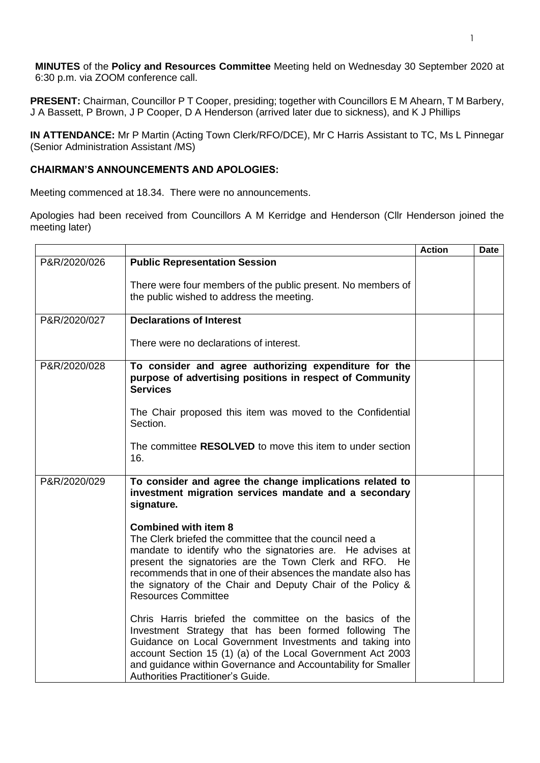**MINUTES** of the **Policy and Resources Committee** Meeting held on Wednesday 30 September 2020 at 6:30 p.m. via ZOOM conference call.

**PRESENT:** Chairman, Councillor P T Cooper, presiding; together with Councillors E M Ahearn, T M Barbery, J A Bassett, P Brown, J P Cooper, D A Henderson (arrived later due to sickness), and K J Phillips

**IN ATTENDANCE:** Mr P Martin (Acting Town Clerk/RFO/DCE), Mr C Harris Assistant to TC, Ms L Pinnegar (Senior Administration Assistant /MS)

## **CHAIRMAN'S ANNOUNCEMENTS AND APOLOGIES:**

Meeting commenced at 18.34. There were no announcements.

Apologies had been received from Councillors A M Kerridge and Henderson (Cllr Henderson joined the meeting later)

|              |                                                                                                                                                                                                                                                                                                                                                    | <b>Action</b> | <b>Date</b> |
|--------------|----------------------------------------------------------------------------------------------------------------------------------------------------------------------------------------------------------------------------------------------------------------------------------------------------------------------------------------------------|---------------|-------------|
| P&R/2020/026 | <b>Public Representation Session</b>                                                                                                                                                                                                                                                                                                               |               |             |
|              | There were four members of the public present. No members of<br>the public wished to address the meeting.                                                                                                                                                                                                                                          |               |             |
| P&R/2020/027 | <b>Declarations of Interest</b>                                                                                                                                                                                                                                                                                                                    |               |             |
|              | There were no declarations of interest.                                                                                                                                                                                                                                                                                                            |               |             |
| P&R/2020/028 | To consider and agree authorizing expenditure for the<br>purpose of advertising positions in respect of Community<br><b>Services</b>                                                                                                                                                                                                               |               |             |
|              | The Chair proposed this item was moved to the Confidential<br>Section.                                                                                                                                                                                                                                                                             |               |             |
|              | The committee RESOLVED to move this item to under section<br>16.                                                                                                                                                                                                                                                                                   |               |             |
| P&R/2020/029 | To consider and agree the change implications related to<br>investment migration services mandate and a secondary<br>signature.                                                                                                                                                                                                                    |               |             |
|              | <b>Combined with item 8</b>                                                                                                                                                                                                                                                                                                                        |               |             |
|              | The Clerk briefed the committee that the council need a                                                                                                                                                                                                                                                                                            |               |             |
|              | mandate to identify who the signatories are. He advises at<br>present the signatories are the Town Clerk and RFO. He<br>recommends that in one of their absences the mandate also has<br>the signatory of the Chair and Deputy Chair of the Policy &<br><b>Resources Committee</b>                                                                 |               |             |
|              | Chris Harris briefed the committee on the basics of the<br>Investment Strategy that has been formed following The<br>Guidance on Local Government Investments and taking into<br>account Section 15 (1) (a) of the Local Government Act 2003<br>and guidance within Governance and Accountability for Smaller<br>Authorities Practitioner's Guide. |               |             |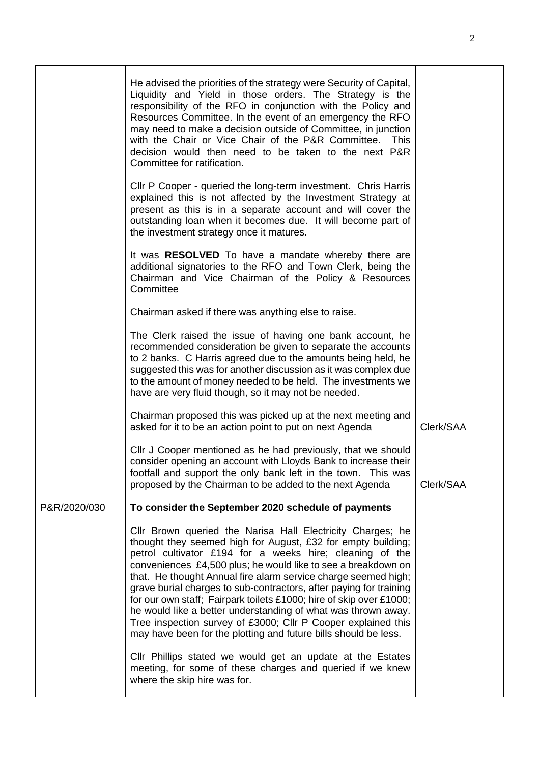|              | He advised the priorities of the strategy were Security of Capital,<br>Liquidity and Yield in those orders. The Strategy is the<br>responsibility of the RFO in conjunction with the Policy and<br>Resources Committee. In the event of an emergency the RFO<br>may need to make a decision outside of Committee, in junction<br>with the Chair or Vice Chair of the P&R Committee.<br><b>This</b><br>decision would then need to be taken to the next P&R<br>Committee for ratification.                                                                                                                                                                                   |           |  |
|--------------|-----------------------------------------------------------------------------------------------------------------------------------------------------------------------------------------------------------------------------------------------------------------------------------------------------------------------------------------------------------------------------------------------------------------------------------------------------------------------------------------------------------------------------------------------------------------------------------------------------------------------------------------------------------------------------|-----------|--|
|              | CIIr P Cooper - queried the long-term investment. Chris Harris<br>explained this is not affected by the Investment Strategy at<br>present as this is in a separate account and will cover the<br>outstanding loan when it becomes due. It will become part of<br>the investment strategy once it matures.                                                                                                                                                                                                                                                                                                                                                                   |           |  |
|              | It was RESOLVED To have a mandate whereby there are<br>additional signatories to the RFO and Town Clerk, being the<br>Chairman and Vice Chairman of the Policy & Resources<br>Committee                                                                                                                                                                                                                                                                                                                                                                                                                                                                                     |           |  |
|              | Chairman asked if there was anything else to raise.                                                                                                                                                                                                                                                                                                                                                                                                                                                                                                                                                                                                                         |           |  |
|              | The Clerk raised the issue of having one bank account, he<br>recommended consideration be given to separate the accounts<br>to 2 banks. C Harris agreed due to the amounts being held, he<br>suggested this was for another discussion as it was complex due<br>to the amount of money needed to be held. The investments we<br>have are very fluid though, so it may not be needed.                                                                                                                                                                                                                                                                                        |           |  |
|              | Chairman proposed this was picked up at the next meeting and<br>asked for it to be an action point to put on next Agenda                                                                                                                                                                                                                                                                                                                                                                                                                                                                                                                                                    | Clerk/SAA |  |
|              | CIIr J Cooper mentioned as he had previously, that we should<br>consider opening an account with Lloyds Bank to increase their<br>footfall and support the only bank left in the town. This was                                                                                                                                                                                                                                                                                                                                                                                                                                                                             |           |  |
|              | proposed by the Chairman to be added to the next Agenda                                                                                                                                                                                                                                                                                                                                                                                                                                                                                                                                                                                                                     | Clerk/SAA |  |
| P&R/2020/030 | To consider the September 2020 schedule of payments                                                                                                                                                                                                                                                                                                                                                                                                                                                                                                                                                                                                                         |           |  |
|              | Cllr Brown queried the Narisa Hall Electricity Charges; he<br>thought they seemed high for August, £32 for empty building;<br>petrol cultivator £194 for a weeks hire; cleaning of the<br>conveniences £4,500 plus; he would like to see a breakdown on<br>that. He thought Annual fire alarm service charge seemed high;<br>grave burial charges to sub-contractors, after paying for training<br>for our own staff; Fairpark toilets £1000; hire of skip over £1000;<br>he would like a better understanding of what was thrown away.<br>Tree inspection survey of £3000; Cllr P Cooper explained this<br>may have been for the plotting and future bills should be less. |           |  |
|              | Cllr Phillips stated we would get an update at the Estates<br>meeting, for some of these charges and queried if we knew<br>where the skip hire was for.                                                                                                                                                                                                                                                                                                                                                                                                                                                                                                                     |           |  |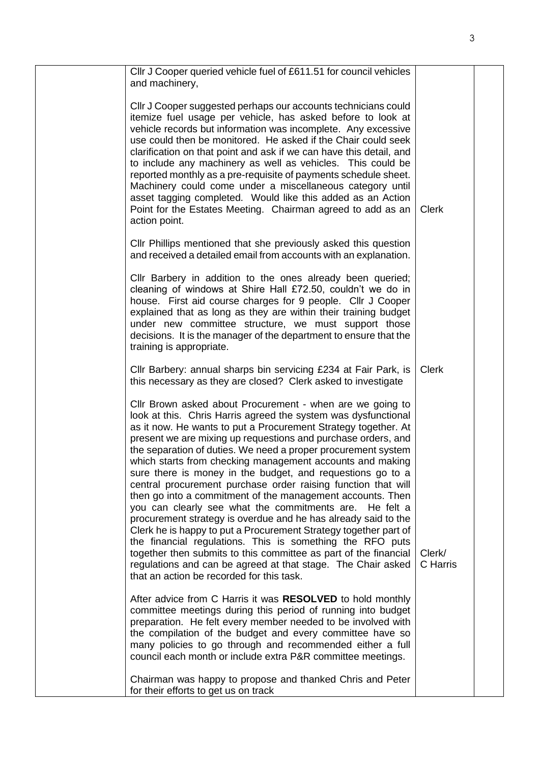| CIIr J Cooper queried vehicle fuel of £611.51 for council vehicles<br>and machinery,                                                                                                                                                                                                                                                                                                                                                                                                                                                                                                                                                                                                                                                                                                                                                                                                                                                                                                                                                     |                    |  |
|------------------------------------------------------------------------------------------------------------------------------------------------------------------------------------------------------------------------------------------------------------------------------------------------------------------------------------------------------------------------------------------------------------------------------------------------------------------------------------------------------------------------------------------------------------------------------------------------------------------------------------------------------------------------------------------------------------------------------------------------------------------------------------------------------------------------------------------------------------------------------------------------------------------------------------------------------------------------------------------------------------------------------------------|--------------------|--|
| CIIr J Cooper suggested perhaps our accounts technicians could<br>itemize fuel usage per vehicle, has asked before to look at<br>vehicle records but information was incomplete. Any excessive<br>use could then be monitored. He asked if the Chair could seek<br>clarification on that point and ask if we can have this detail, and<br>to include any machinery as well as vehicles. This could be<br>reported monthly as a pre-requisite of payments schedule sheet.<br>Machinery could come under a miscellaneous category until<br>asset tagging completed. Would like this added as an Action<br>Point for the Estates Meeting. Chairman agreed to add as an<br>action point.                                                                                                                                                                                                                                                                                                                                                     | <b>Clerk</b>       |  |
| CIIr Phillips mentioned that she previously asked this question<br>and received a detailed email from accounts with an explanation.                                                                                                                                                                                                                                                                                                                                                                                                                                                                                                                                                                                                                                                                                                                                                                                                                                                                                                      |                    |  |
| CIIr Barbery in addition to the ones already been queried;<br>cleaning of windows at Shire Hall £72.50, couldn't we do in<br>house. First aid course charges for 9 people. Cllr J Cooper<br>explained that as long as they are within their training budget<br>under new committee structure, we must support those<br>decisions. It is the manager of the department to ensure that the<br>training is appropriate.                                                                                                                                                                                                                                                                                                                                                                                                                                                                                                                                                                                                                     |                    |  |
| Cllr Barbery: annual sharps bin servicing £234 at Fair Park, is<br>this necessary as they are closed? Clerk asked to investigate                                                                                                                                                                                                                                                                                                                                                                                                                                                                                                                                                                                                                                                                                                                                                                                                                                                                                                         | <b>Clerk</b>       |  |
| Cllr Brown asked about Procurement - when are we going to<br>look at this. Chris Harris agreed the system was dysfunctional<br>as it now. He wants to put a Procurement Strategy together. At<br>present we are mixing up requestions and purchase orders, and<br>the separation of duties. We need a proper procurement system<br>which starts from checking management accounts and making<br>sure there is money in the budget, and requestions go to a<br>central procurement purchase order raising function that will<br>then go into a commitment of the management accounts. Then<br>you can clearly see what the commitments are. He felt a<br>procurement strategy is overdue and he has already said to the<br>Clerk he is happy to put a Procurement Strategy together part of<br>the financial regulations. This is something the RFO puts<br>together then submits to this committee as part of the financial<br>regulations and can be agreed at that stage. The Chair asked<br>that an action be recorded for this task. | Clerk/<br>C Harris |  |
| After advice from C Harris it was RESOLVED to hold monthly<br>committee meetings during this period of running into budget<br>preparation. He felt every member needed to be involved with<br>the compilation of the budget and every committee have so<br>many policies to go through and recommended either a full<br>council each month or include extra P&R committee meetings.                                                                                                                                                                                                                                                                                                                                                                                                                                                                                                                                                                                                                                                      |                    |  |
| Chairman was happy to propose and thanked Chris and Peter<br>for their efforts to get us on track                                                                                                                                                                                                                                                                                                                                                                                                                                                                                                                                                                                                                                                                                                                                                                                                                                                                                                                                        |                    |  |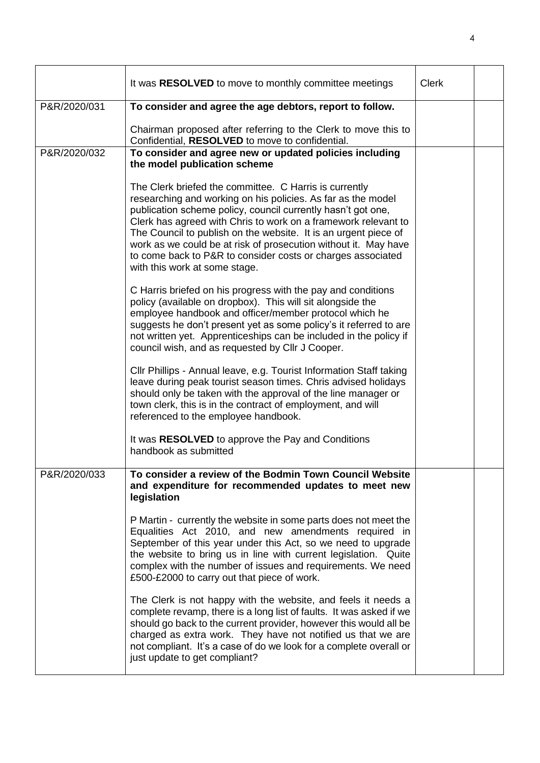|              | It was RESOLVED to move to monthly committee meetings                                                                                                                                                                                                                                                                                                                                                                                                                                          | <b>Clerk</b> |  |
|--------------|------------------------------------------------------------------------------------------------------------------------------------------------------------------------------------------------------------------------------------------------------------------------------------------------------------------------------------------------------------------------------------------------------------------------------------------------------------------------------------------------|--------------|--|
| P&R/2020/031 | To consider and agree the age debtors, report to follow.                                                                                                                                                                                                                                                                                                                                                                                                                                       |              |  |
|              | Chairman proposed after referring to the Clerk to move this to<br>Confidential, RESOLVED to move to confidential.                                                                                                                                                                                                                                                                                                                                                                              |              |  |
| P&R/2020/032 | To consider and agree new or updated policies including<br>the model publication scheme                                                                                                                                                                                                                                                                                                                                                                                                        |              |  |
|              | The Clerk briefed the committee. C Harris is currently<br>researching and working on his policies. As far as the model<br>publication scheme policy, council currently hasn't got one,<br>Clerk has agreed with Chris to work on a framework relevant to<br>The Council to publish on the website. It is an urgent piece of<br>work as we could be at risk of prosecution without it. May have<br>to come back to P&R to consider costs or charges associated<br>with this work at some stage. |              |  |
|              | C Harris briefed on his progress with the pay and conditions<br>policy (available on dropbox). This will sit alongside the<br>employee handbook and officer/member protocol which he<br>suggests he don't present yet as some policy's it referred to are<br>not written yet. Apprenticeships can be included in the policy if<br>council wish, and as requested by Cllr J Cooper.                                                                                                             |              |  |
|              | Cllr Phillips - Annual leave, e.g. Tourist Information Staff taking<br>leave during peak tourist season times. Chris advised holidays<br>should only be taken with the approval of the line manager or<br>town clerk, this is in the contract of employment, and will<br>referenced to the employee handbook.                                                                                                                                                                                  |              |  |
|              | It was RESOLVED to approve the Pay and Conditions<br>handbook as submitted                                                                                                                                                                                                                                                                                                                                                                                                                     |              |  |
| P&R/2020/033 | To consider a review of the Bodmin Town Council Website<br>and expenditure for recommended updates to meet new<br>legislation                                                                                                                                                                                                                                                                                                                                                                  |              |  |
|              | P Martin - currently the website in some parts does not meet the<br>Equalities Act 2010, and new amendments required in<br>September of this year under this Act, so we need to upgrade<br>the website to bring us in line with current legislation. Quite<br>complex with the number of issues and requirements. We need<br>£500-£2000 to carry out that piece of work.                                                                                                                       |              |  |
|              | The Clerk is not happy with the website, and feels it needs a<br>complete revamp, there is a long list of faults. It was asked if we<br>should go back to the current provider, however this would all be<br>charged as extra work. They have not notified us that we are<br>not compliant. It's a case of do we look for a complete overall or<br>just update to get compliant?                                                                                                               |              |  |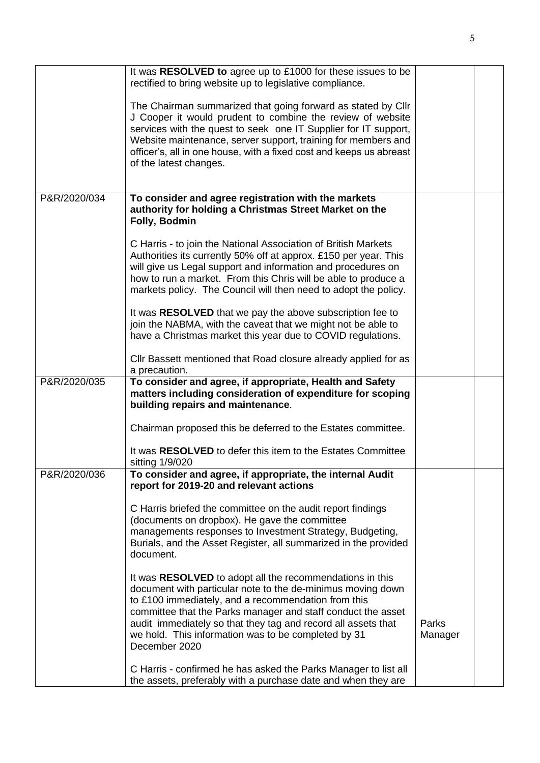|              | It was RESOLVED to agree up to £1000 for these issues to be<br>rectified to bring website up to legislative compliance.                                                                                                                                                                                                                                                                 |                  |  |
|--------------|-----------------------------------------------------------------------------------------------------------------------------------------------------------------------------------------------------------------------------------------------------------------------------------------------------------------------------------------------------------------------------------------|------------------|--|
|              | The Chairman summarized that going forward as stated by Cllr<br>J Cooper it would prudent to combine the review of website<br>services with the quest to seek one IT Supplier for IT support,<br>Website maintenance, server support, training for members and<br>officer's, all in one house, with a fixed cost and keeps us abreast<br>of the latest changes.                         |                  |  |
|              |                                                                                                                                                                                                                                                                                                                                                                                         |                  |  |
| P&R/2020/034 | To consider and agree registration with the markets<br>authority for holding a Christmas Street Market on the<br>Folly, Bodmin                                                                                                                                                                                                                                                          |                  |  |
|              | C Harris - to join the National Association of British Markets<br>Authorities its currently 50% off at approx. £150 per year. This<br>will give us Legal support and information and procedures on<br>how to run a market. From this Chris will be able to produce a<br>markets policy. The Council will then need to adopt the policy.                                                 |                  |  |
|              | It was RESOLVED that we pay the above subscription fee to<br>join the NABMA, with the caveat that we might not be able to<br>have a Christmas market this year due to COVID regulations.                                                                                                                                                                                                |                  |  |
|              | CIIr Bassett mentioned that Road closure already applied for as<br>a precaution.                                                                                                                                                                                                                                                                                                        |                  |  |
| P&R/2020/035 | To consider and agree, if appropriate, Health and Safety<br>matters including consideration of expenditure for scoping<br>building repairs and maintenance.                                                                                                                                                                                                                             |                  |  |
|              | Chairman proposed this be deferred to the Estates committee.                                                                                                                                                                                                                                                                                                                            |                  |  |
|              | It was RESOLVED to defer this item to the Estates Committee<br>sitting 1/9/020                                                                                                                                                                                                                                                                                                          |                  |  |
| P&R/2020/036 | To consider and agree, if appropriate, the internal Audit<br>report for 2019-20 and relevant actions                                                                                                                                                                                                                                                                                    |                  |  |
|              | C Harris briefed the committee on the audit report findings<br>(documents on dropbox). He gave the committee<br>managements responses to Investment Strategy, Budgeting,<br>Burials, and the Asset Register, all summarized in the provided<br>document.                                                                                                                                |                  |  |
|              | It was RESOLVED to adopt all the recommendations in this<br>document with particular note to the de-minimus moving down<br>to £100 immediately, and a recommendation from this<br>committee that the Parks manager and staff conduct the asset<br>audit immediately so that they tag and record all assets that<br>we hold. This information was to be completed by 31<br>December 2020 | Parks<br>Manager |  |
|              | C Harris - confirmed he has asked the Parks Manager to list all<br>the assets, preferably with a purchase date and when they are                                                                                                                                                                                                                                                        |                  |  |